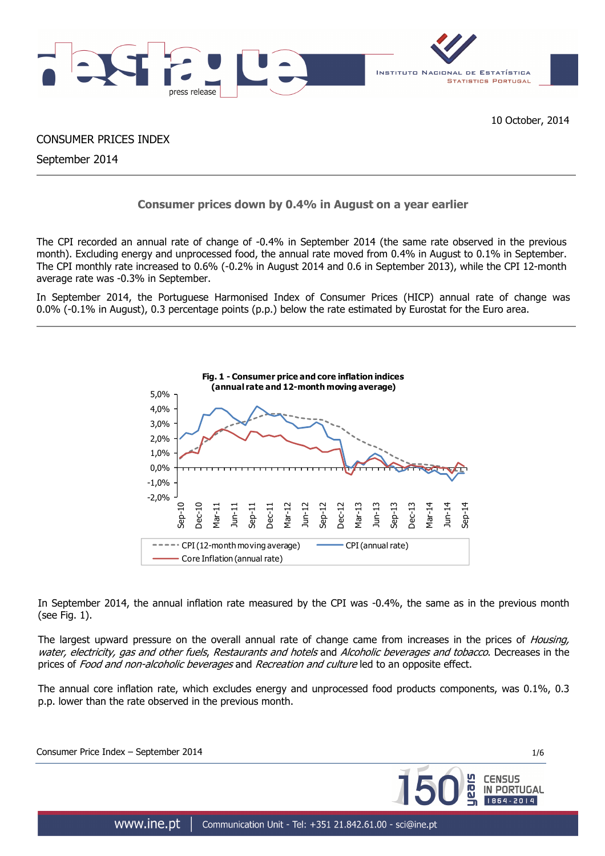

CONSUMER PRICES INDEX

September 2014

## **Consumer prices down by 0.4% in August on a year earlier**

The CPI recorded an annual rate of change of -0.4% in September 2014 (the same rate observed in the previous month). Excluding energy and unprocessed food, the annual rate moved from 0.4% in August to 0.1% in September. The CPI monthly rate increased to 0.6% (-0.2% in August 2014 and 0.6 in September 2013), while the CPI 12-month average rate was -0.3% in September.

In September 2014, the Portuguese Harmonised Index of Consumer Prices (HICP) annual rate of change was 0.0% (-0.1% in August), 0.3 percentage points (p.p.) below the rate estimated by Eurostat for the Euro area.



In September 2014, the annual inflation rate measured by the CPI was -0.4%, the same as in the previous month (see Fig. 1).

The largest upward pressure on the overall annual rate of change came from increases in the prices of *Housing,* water, electricity, gas and other fuels. Restaurants and hotels and Alcoholic beverages and tobacco. Decreases in the prices of Food and non-alcoholic beverages and Recreation and culture led to an opposite effect.

The annual core inflation rate, which excludes energy and unprocessed food products components, was 0.1%, 0.3 p.p. lower than the rate observed in the previous month.

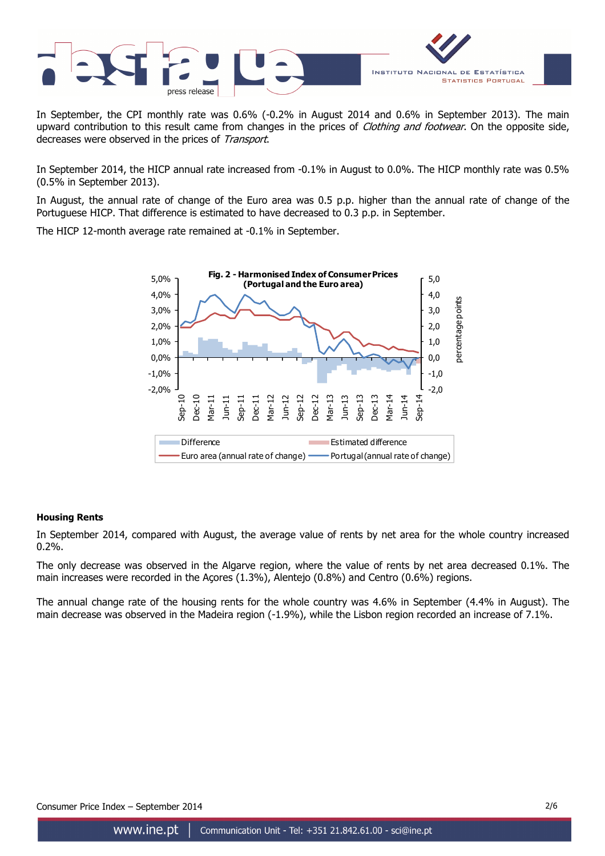

In September, the CPI monthly rate was 0.6% (-0.2% in August 2014 and 0.6% in September 2013). The main upward contribution to this result came from changes in the prices of Clothing and footwear. On the opposite side, decreases were observed in the prices of Transport.

In September 2014, the HICP annual rate increased from -0.1% in August to 0.0%. The HICP monthly rate was 0.5% (0.5% in September 2013).

In August, the annual rate of change of the Euro area was 0.5 p.p. higher than the annual rate of change of the Portuguese HICP. That difference is estimated to have decreased to 0.3 p.p. in September.

The HICP 12-month average rate remained at -0.1% in September.



## **Housing Rents**

In September 2014, compared with August, the average value of rents by net area for the whole country increased 0.2%.

The only decrease was observed in the Algarve region, where the value of rents by net area decreased 0.1%. The main increases were recorded in the Açores (1.3%), Alentejo (0.8%) and Centro (0.6%) regions.

The annual change rate of the housing rents for the whole country was 4.6% in September (4.4% in August). The main decrease was observed in the Madeira region (-1.9%), while the Lisbon region recorded an increase of 7.1%.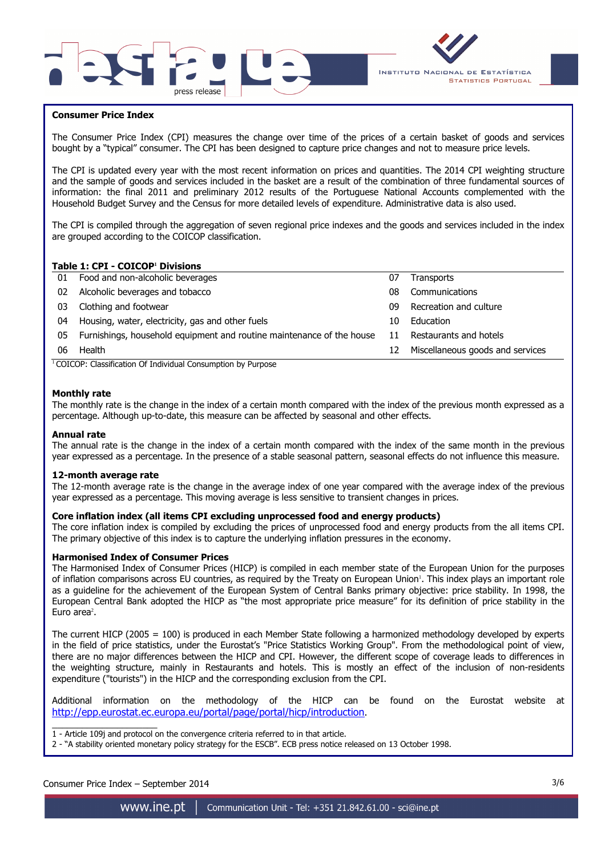



### **Consumer Price Index**

I

The Consumer Price Index (CPI) measures the change over time of the prices of a certain basket of goods and services bought by a "typical" consumer. The CPI has been designed to capture price changes and not to measure price levels.

The CPI is updated every year with the most recent information on prices and quantities. The 2014 CPI weighting structure and the sample of goods and services included in the basket are a result of the combination of three fundamental sources of information: the final 2011 and preliminary 2012 results of the Portuguese National Accounts complemented with the Household Budget Survey and the Census for more detailed levels of expenditure. Administrative data is also used.

The CPI is compiled through the aggregation of seven regional price indexes and the goods and services included in the index are grouped according to the COICOP classification.

#### **Table 1: CPI - COICOP<sup>1</sup> Divisions**

| 01 | Food and non-alcoholic beverages                                      | 07 | <b>Transports</b>                |
|----|-----------------------------------------------------------------------|----|----------------------------------|
| 02 | Alcoholic beverages and tobacco                                       | 08 | Communications                   |
| 03 | Clothing and footwear                                                 | 09 | Recreation and culture           |
| 04 | Housing, water, electricity, gas and other fuels                      | 10 | Education                        |
| 05 | Furnishings, household equipment and routine maintenance of the house | 11 | Restaurants and hotels           |
| 06 | Health                                                                | 12 | Miscellaneous goods and services |
|    | $\cdots$<br>$\cdots$<br>$\sim$                                        |    |                                  |

<sup>1</sup> COICOP: Classification Of Individual Consumption by Purpose

#### **Monthly rate**

The monthly rate is the change in the index of a certain month compared with the index of the previous month expressed as a percentage. Although up-to-date, this measure can be affected by seasonal and other effects.

#### **Annual rate**

The annual rate is the change in the index of a certain month compared with the index of the same month in the previous year expressed as a percentage. In the presence of a stable seasonal pattern, seasonal effects do not influence this measure.

#### **12-month average rate**

The 12-month average rate is the change in the average index of one year compared with the average index of the previous year expressed as a percentage. This moving average is less sensitive to transient changes in prices.

#### **Core inflation index (all items CPI excluding unprocessed food and energy products)**

The core inflation index is compiled by excluding the prices of unprocessed food and energy products from the all items CPI. The primary objective of this index is to capture the underlying inflation pressures in the economy.

#### **Harmonised Index of Consumer Prices**

The Harmonised Index of Consumer Prices (HICP) is compiled in each member state of the European Union for the purposes of inflation comparisons across EU countries, as required by the Treaty on European Union'. This index plays an important role as a guideline for the achievement of the European System of Central Banks primary objective: price stability. In 1998, the European Central Bank adopted the HICP as "the most appropriate price measure" for its definition of price stability in the Euro area<sup>2</sup>.

The current HICP (2005 = 100) is produced in each Member State following a harmonized methodology developed by experts in the field of price statistics, under the Eurostat's "Price Statistics Working Group". From the methodological point of view, there are no major differences between the HICP and CPI. However, the different scope of coverage leads to differences in the weighting structure, mainly in Restaurants and hotels. This is mostly an effect of the inclusion of non-residents expenditure ("tourists") in the HICP and the corresponding exclusion from the CPI.

Additional information on the methodology of the HICP can be found on the Eurostat website at http://epp.eurostat.ec.europa.eu/portal/page/portal/hicp/introduction.

\_\_\_\_\_\_\_\_\_\_\_\_\_\_\_\_\_\_\_\_\_ 1 - Article 109j and protocol on the convergence criteria referred to in that article.

2 - "A stability oriented monetary policy strategy for the ESCB". ECB press notice released on 13 October 1998.

## Consumer Price Index – September 2014 3/6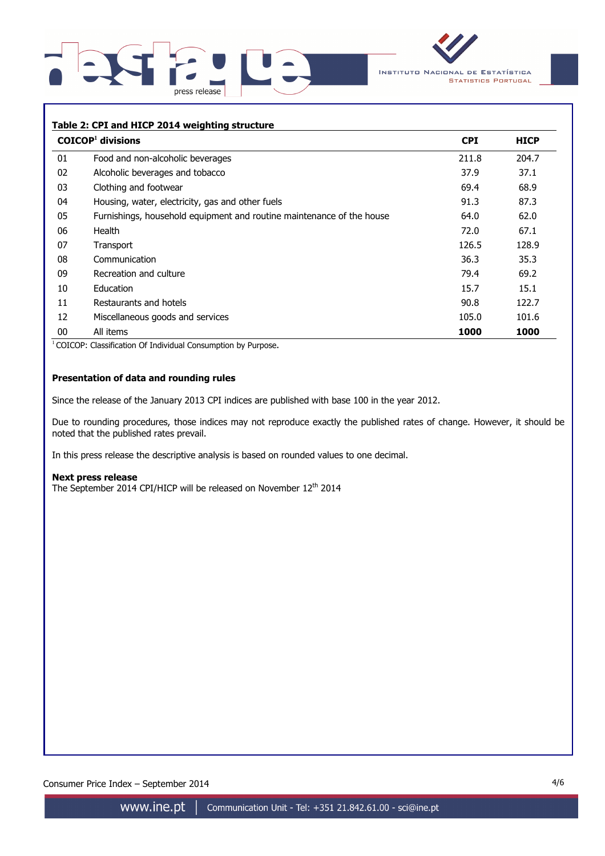



#### **Table 2: CPI and HICP 2014 weighting structure**

|    | $COICOP1$ divisions                                                   | <b>CPI</b> | <b>HICP</b> |
|----|-----------------------------------------------------------------------|------------|-------------|
| 01 | Food and non-alcoholic beverages                                      | 211.8      | 204.7       |
| 02 | Alcoholic beverages and tobacco                                       | 37.9       | 37.1        |
| 03 | Clothing and footwear                                                 | 69.4       | 68.9        |
| 04 | Housing, water, electricity, gas and other fuels                      | 91.3       | 87.3        |
| 05 | Furnishings, household equipment and routine maintenance of the house | 64.0       | 62.0        |
| 06 | Health                                                                | 72.0       | 67.1        |
| 07 | Transport                                                             | 126.5      | 128.9       |
| 08 | Communication                                                         | 36.3       | 35.3        |
| 09 | Recreation and culture                                                | 79.4       | 69.2        |
| 10 | Education                                                             | 15.7       | 15.1        |
| 11 | Restaurants and hotels                                                | 90.8       | 122.7       |
| 12 | Miscellaneous goods and services                                      | 105.0      | 101.6       |
| 00 | All items                                                             | 1000       | 1000        |

<sup>1</sup> COICOP: Classification Of Individual Consumption by Purpose.

## **Presentation of data and rounding rules**

Since the release of the January 2013 CPI indices are published with base 100 in the year 2012.

Due to rounding procedures, those indices may not reproduce exactly the published rates of change. However, it should be noted that the published rates prevail.

In this press release the descriptive analysis is based on rounded values to one decimal.

#### **Next press release**

The September 2014 CPI/HICP will be released on November 12<sup>th</sup> 2014

Consumer Price Index – September 2014 4/6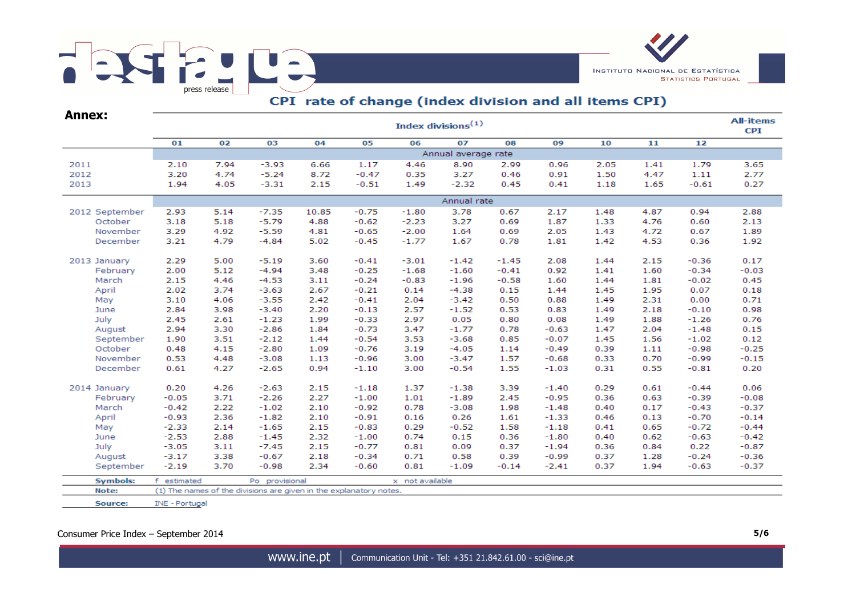



# CPI rate of change (index division and all items CPI)

| <b>Annex:</b>   |                | Index divisions <sup>(1)</sup> |                                                                    |       |         |                 |                     |         |         |      |      |         |         |  |  |  |
|-----------------|----------------|--------------------------------|--------------------------------------------------------------------|-------|---------|-----------------|---------------------|---------|---------|------|------|---------|---------|--|--|--|
|                 | 01             | 02                             | 03                                                                 | 04    | 05      | 06              | 07                  | 08      | 09      | 10   | 11   | 12      |         |  |  |  |
|                 |                |                                |                                                                    |       |         |                 | Annual average rate |         |         |      |      |         |         |  |  |  |
| 2011            | 2.10           | 7.94                           | $-3.93$                                                            | 6.66  | 1.17    | 4.46            | 8.90                | 2.99    | 0.96    | 2.05 | 1.41 | 1.79    | 3.65    |  |  |  |
| 2012            | 3.20           | 4.74                           | $-5.24$                                                            | 8.72  | $-0.47$ | 0.35            | 3.27                | 0.46    | 0.91    | 1.50 | 4.47 | 1.11    | 2.77    |  |  |  |
| 2013            | 1.94           | 4.05                           | $-3.31$                                                            | 2.15  | $-0.51$ | 1.49            | $-2.32$             | 0.45    | 0.41    | 1.18 | 1.65 | $-0.61$ | 0.27    |  |  |  |
|                 | Annual rate    |                                |                                                                    |       |         |                 |                     |         |         |      |      |         |         |  |  |  |
| 2012 September  | 2.93           | 5.14                           | $-7.35$                                                            | 10.85 | $-0.75$ | $-1.80$         | 3.78                | 0.67    | 2.17    | 1.48 | 4.87 | 0.94    | 2.88    |  |  |  |
| October         | 3.18           | 5.18                           | $-5.79$                                                            | 4.88  | $-0.62$ | $-2.23$         | 3.27                | 0.69    | 1.87    | 1.33 | 4.76 | 0.60    | 2.13    |  |  |  |
| November        | 3.29           | 4.92                           | $-5.59$                                                            | 4.81  | $-0.65$ | $-2.00$         | 1.64                | 0.69    | 2.05    | 1.43 | 4.72 | 0.67    | 1.89    |  |  |  |
| December        | 3.21           | 4.79                           | $-4.84$                                                            | 5.02  | $-0.45$ | $-1.77$         | 1.67                | 0.78    | 1.81    | 1.42 | 4.53 | 0.36    | 1.92    |  |  |  |
| 2013 January    | 2.29           | 5.00                           | $-5.19$                                                            | 3.60  | $-0.41$ | $-3.01$         | $-1.42$             | $-1.45$ | 2.08    | 1.44 | 2.15 | $-0.36$ | 0.17    |  |  |  |
| February        | 2.00           | 5.12                           | $-4.94$                                                            | 3.48  | $-0.25$ | $-1.68$         | $-1.60$             | $-0.41$ | 0.92    | 1.41 | 1.60 | $-0.34$ | $-0.03$ |  |  |  |
| March           | 2.15           | 4.46                           | $-4.53$                                                            | 3.11  | $-0.24$ | $-0.83$         | $-1.96$             | $-0.58$ | 1.60    | 1.44 | 1.81 | $-0.02$ | 0.45    |  |  |  |
| April           | 2.02           | 3.74                           | $-3.63$                                                            | 2.67  | $-0.21$ | 0.14            | $-4.38$             | 0.15    | 1.44    | 1.45 | 1.95 | 0.07    | 0.18    |  |  |  |
| May             | 3.10           | 4.06                           | $-3.55$                                                            | 2.42  | $-0.41$ | 2.04            | $-3.42$             | 0.50    | 0.88    | 1.49 | 2.31 | 0.00    | 0.71    |  |  |  |
| June            | 2.84           | 3.98                           | $-3.40$                                                            | 2.20  | $-0.13$ | 2.57            | $-1.52$             | 0.53    | 0.83    | 1.49 | 2.18 | $-0.10$ | 0.98    |  |  |  |
| July            | 2.45           | 2.61                           | $-1.23$                                                            | 1.99  | $-0.33$ | 2.97            | 0.05                | 0.80    | 0.08    | 1.49 | 1.88 | $-1.26$ | 0.76    |  |  |  |
| August          | 2.94           | 3.30                           | $-2.86$                                                            | 1.84  | $-0.73$ | 3.47            | $-1.77$             | 0.78    | $-0.63$ | 1.47 | 2.04 | $-1.48$ | 0.15    |  |  |  |
| September       | 1.90           | 3.51                           | $-2.12$                                                            | 1.44  | $-0.54$ | 3.53            | $-3.68$             | 0.85    | $-0.07$ | 1.45 | 1.56 | $-1.02$ | 0.12    |  |  |  |
| October         | 0.48           | 4.15                           | $-2.80$                                                            | 1.09  | $-0.76$ | 3.19            | $-4.05$             | 1.14    | $-0.49$ | 0.39 | 1.11 | $-0.98$ | $-0.25$ |  |  |  |
| November        | 0.53           | 4.48                           | $-3.08$                                                            | 1.13  | $-0.96$ | 3.00            | $-3.47$             | 1.57    | $-0.68$ | 0.33 | 0.70 | $-0.99$ | $-0.15$ |  |  |  |
| December        | 0.61           | 4.27                           | $-2.65$                                                            | 0.94  | $-1.10$ | 3.00            | $-0.54$             | 1.55    | $-1.03$ | 0.31 | 0.55 | $-0.81$ | 0.20    |  |  |  |
| 2014 January    | 0.20           | 4.26                           | $-2.63$                                                            | 2.15  | $-1.18$ | 1.37            | $-1.38$             | 3.39    | $-1.40$ | 0.29 | 0.61 | $-0.44$ | 0.06    |  |  |  |
| February        | $-0.05$        | 3.71                           | $-2.26$                                                            | 2.27  | $-1.00$ | 1.01            | $-1.89$             | 2.45    | $-0.95$ | 0.36 | 0.63 | $-0.39$ | $-0.08$ |  |  |  |
| March           | $-0.42$        | 2.22                           | $-1.02$                                                            | 2.10  | $-0.92$ | 0.78            | $-3.08$             | 1.98    | $-1.48$ | 0.40 | 0.17 | $-0.43$ | $-0.37$ |  |  |  |
| April           | $-0.93$        | 2.36                           | $-1.82$                                                            | 2.10  | $-0.91$ | 0.16            | 0.26                | 1.61    | $-1.33$ | 0.46 | 0.13 | $-0.70$ | $-0.14$ |  |  |  |
| May             | $-2.33$        | 2.14                           | $-1.65$                                                            | 2.15  | $-0.83$ | 0.29            | $-0.52$             | 1.58    | $-1.18$ | 0.41 | 0.65 | $-0.72$ | $-0.44$ |  |  |  |
| June            | $-2.53$        | 2.88                           | $-1.45$                                                            | 2.32  | $-1.00$ | 0.74            | 0.15                | 0.36    | $-1.80$ | 0.40 | 0.62 | $-0.63$ | $-0.42$ |  |  |  |
| July            | $-3.05$        | 3.11                           | $-7.45$                                                            | 2.15  | $-0.77$ | 0.81            | 0.09                | 0.37    | $-1.94$ | 0.36 | 0.84 | 0.22    | $-0.87$ |  |  |  |
| August          | $-3.17$        | 3.38                           | $-0.67$                                                            | 2.18  | $-0.34$ | 0.71            | 0.58                | 0.39    | $-0.99$ | 0.37 | 1.28 | $-0.24$ | $-0.36$ |  |  |  |
| September       | $-2.19$        | 3.70                           | $-0.98$                                                            | 2.34  | $-0.60$ | 0.81            | $-1.09$             | $-0.14$ | $-2.41$ | 0.37 | 1.94 | $-0.63$ | $-0.37$ |  |  |  |
| <b>Symbols:</b> | f estimated    |                                | Po provisional                                                     |       |         | x not available |                     |         |         |      |      |         |         |  |  |  |
| Note:           |                |                                | (1) The names of the divisions are given in the explanatory notes. |       |         |                 |                     |         |         |      |      |         |         |  |  |  |
| Source:         | INE - Portugal |                                |                                                                    |       |         |                 |                     |         |         |      |      |         |         |  |  |  |

Consumer Price Index – September 2014 **5/6**